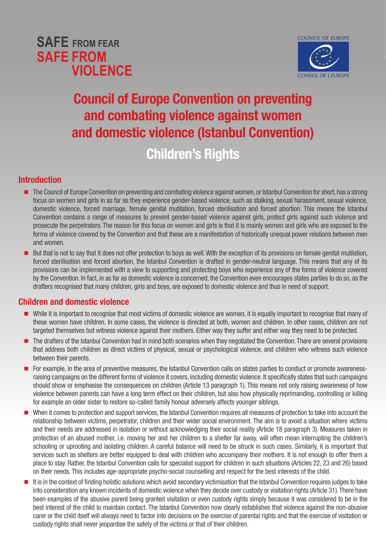



# Council of Europe Convention on preventing and combating violence against women and domestic violence (Istanbul Convention)

Children's Rights

#### Introduction

- The Council of Europe Convention on preventing and combating violence against women, or Istanbul Convention for short, has a strong focus on women and girls in as far as they experience gender-based violence, such as stalking, sexual harassment, sexual violence, domestic violence, forced marriage, female genital mutilation, forced sterilisation and forced abortion. This means the Istanbul Convention contains a range of measures to prevent gender-based violence against girls, protect girls against such violence and prosecute the perpetrators. The reason for this focus on women and girls is that it is mainly women and girls who are exposed to the forms of violence covered by the Convention and that these are a manifestation of historically unequal power relations between men and women.
- But that is not to say that it does not offer protection to boys as well. With the exception of its provisions on female genital mutilation. forced sterilisation and forced abortion, the Istanbul Convention is drafted in gender-neutral language. This means that any of its provisions can be implemented with a view to supporting and protecting boys who experience any of the forms of violence covered by the Convention. In fact, in as far as domestic violence is concerned, the Convention even encourages states parties to do so, as the drafters recognised that many children, girls and boys, are exposed to domestic violence and thus in need of support.

#### Children and domestic violence

- While it is important to recognise that most victims of domestic violence are women, it is equally important to recognise that many of these women have children. In some cases, the violence is directed at both, women and children. In other cases, children are not targeted themselves but witness violence against their mothers. Either way they suffer and either way they need to be protected.
- The drafters of the Istanbul Convention had in mind both scenarios when they negotiated the Convention. There are several provisions that address both children as direct victims of physical, sexual or psychological violence, and children who witness such violence between their parents.
- For example, in the area of preventive measures, the Istanbul Convention calls on states parties to conduct or promote awarenessraising campaigns on the different forms of violence it covers, including domestic violence. It specifically states that such campaigns should show or emphasise the consequences on children (Article 13 paragraph 1). This means not only raising awareness of how violence between parents can have a long term effect on their children, but also how physically reprimanding, controlling or killing for example an older sister to restore so-called family honour adversely affects younger siblings.
- When it comes to protection and support services, the Istanbul Convention requires all measures of protection to take into account the relationship between victims, perpetrator, children and their wider social environment. The aim is to avoid a situation where victims and their needs are addressed in isolation or without acknowledging their social reality (Article 18 paragraph 3). Measures taken in protection of an abused mother, i.e. moving her and her children to a shelter far away, will often mean interrupting the children's schooling or uprooting and isolating children. A careful balance will need to be struck in such cases. Similarly, it is important that services such as shelters are better equipped to deal with children who accompany their mothers. It is not enough to offer them a place to stay. Rather, the Istanbul Convention calls for specialist support for children in such situations (Articles 22, 23 and 26) based on their needs. This includes age-appropriate psycho-social counselling and respect for the best interests of the child.
- It is in the context of finding holistic solutions which avoid secondary victimisation that the Istanbul Convention requires judges to take into consideration any known incidents of domestic violence when they decide over custody or visitation rights (Article 31). There have been examples of the abusive parent being granted visitation or even custody rights simply because it was considered to be in the best interest of the child to maintain contact. The Istanbul Convention now clearly establishes that violence against the non-abusive carer or the child itself will always need to factor into decisions on the exercise of parental rights and that the exercise of visitation or custody rights shall never jeopardise the safety of the victims or that of their children.